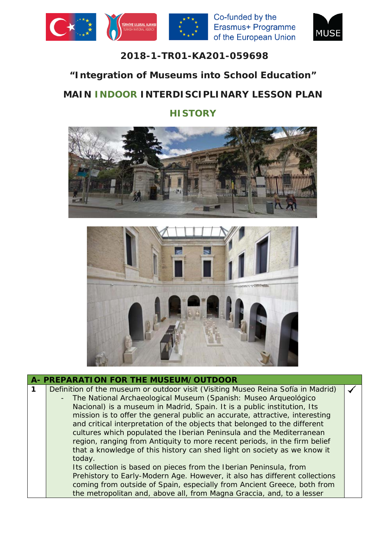





## **2018-1-TR01-KA201-059698**

## **"Integration of Museums into School Education"**

# **MAIN INDOOR INTERDISCIPLINARY LESSON PLAN**

## **HISTORY**





| A- PREPARATION FOR THE MUSEUM/OUTDOOR                                                                                                                                                                                                                                                                                                                                                                                                                                                                                                           |  |
|-------------------------------------------------------------------------------------------------------------------------------------------------------------------------------------------------------------------------------------------------------------------------------------------------------------------------------------------------------------------------------------------------------------------------------------------------------------------------------------------------------------------------------------------------|--|
| Definition of the museum or outdoor visit (Visiting Museo Reina Sofía in Madrid)<br>The National Archaeological Museum (Spanish: Museo Arqueológico<br>Nacional) is a museum in Madrid, Spain. It is a public institution, Its<br>mission is to offer the general public an accurate, attractive, interesting<br>and critical interpretation of the objects that belonged to the different                                                                                                                                                      |  |
| cultures which populated the Iberian Peninsula and the Mediterranean<br>region, ranging from Antiquity to more recent periods, in the firm belief<br>that a knowledge of this history can shed light on society as we know it<br>today.<br>Its collection is based on pieces from the Iberian Peninsula, from<br>Prehistory to Early-Modern Age. However, it also has different collections<br>coming from outside of Spain, especially from Ancient Greece, both from<br>the metropolitan and, above all, from Magna Graccia, and, to a lesser |  |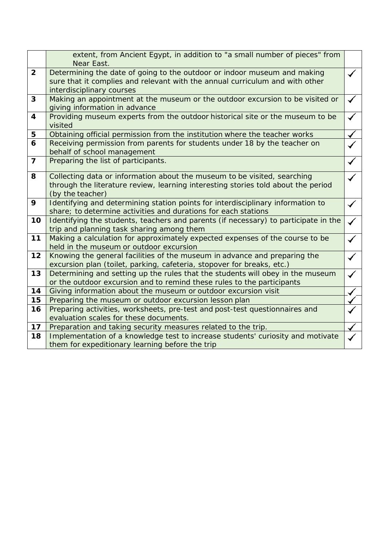|                         | extent, from Ancient Egypt, in addition to "a small number of pieces" from                                              |  |  |  |  |  |
|-------------------------|-------------------------------------------------------------------------------------------------------------------------|--|--|--|--|--|
|                         | Near East.                                                                                                              |  |  |  |  |  |
| $\overline{2}$          | Determining the date of going to the outdoor or indoor museum and making                                                |  |  |  |  |  |
|                         | sure that it complies and relevant with the annual curriculum and with other                                            |  |  |  |  |  |
|                         | interdisciplinary courses                                                                                               |  |  |  |  |  |
| 3                       | Making an appointment at the museum or the outdoor excursion to be visited or                                           |  |  |  |  |  |
|                         | giving information in advance                                                                                           |  |  |  |  |  |
| $\overline{\mathbf{4}}$ | Providing museum experts from the outdoor historical site or the museum to be                                           |  |  |  |  |  |
|                         | visited                                                                                                                 |  |  |  |  |  |
| 5                       | Obtaining official permission from the institution where the teacher works                                              |  |  |  |  |  |
| 6                       | Receiving permission from parents for students under 18 by the teacher on                                               |  |  |  |  |  |
|                         | behalf of school management                                                                                             |  |  |  |  |  |
| $\overline{7}$          | Preparing the list of participants.                                                                                     |  |  |  |  |  |
|                         |                                                                                                                         |  |  |  |  |  |
| 8                       | Collecting data or information about the museum to be visited, searching                                                |  |  |  |  |  |
|                         | through the literature review, learning interesting stories told about the period                                       |  |  |  |  |  |
|                         | (by the teacher)                                                                                                        |  |  |  |  |  |
| 9                       | Identifying and determining station points for interdisciplinary information to                                         |  |  |  |  |  |
|                         | share; to determine activities and durations for each stations                                                          |  |  |  |  |  |
| 10                      | Identifying the students, teachers and parents (if necessary) to participate in the                                     |  |  |  |  |  |
| 11                      | trip and planning task sharing among them                                                                               |  |  |  |  |  |
|                         | Making a calculation for approximately expected expenses of the course to be<br>held in the museum or outdoor excursion |  |  |  |  |  |
| 12                      | Knowing the general facilities of the museum in advance and preparing the                                               |  |  |  |  |  |
|                         | excursion plan (toilet, parking, cafeteria, stopover for breaks, etc.)                                                  |  |  |  |  |  |
| 13                      | Determining and setting up the rules that the students will obey in the museum                                          |  |  |  |  |  |
|                         | or the outdoor excursion and to remind these rules to the participants                                                  |  |  |  |  |  |
| 14                      | Giving information about the museum or outdoor excursion visit                                                          |  |  |  |  |  |
| 15                      | Preparing the museum or outdoor excursion lesson plan                                                                   |  |  |  |  |  |
| 16                      | Preparing activities, worksheets, pre-test and post-test questionnaires and                                             |  |  |  |  |  |
|                         | evaluation scales for these documents.                                                                                  |  |  |  |  |  |
| 17                      | Preparation and taking security measures related to the trip.                                                           |  |  |  |  |  |
| 18                      | Implementation of a knowledge test to increase students' curiosity and motivate                                         |  |  |  |  |  |
|                         | them for expeditionary learning before the trip                                                                         |  |  |  |  |  |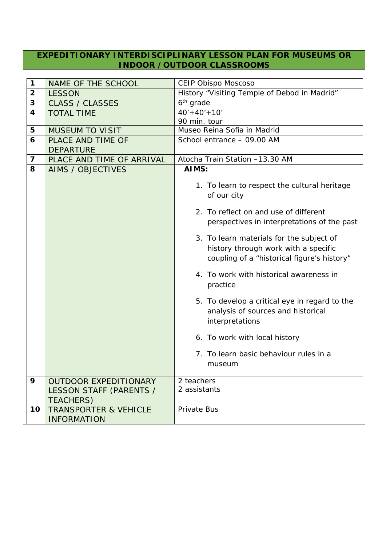#### **EXPEDITIONARY INTERDISCIPLINARY LESSON PLAN FOR MUSEUMS OR INDOOR /OUTDOOR CLASSROOMS**

| $\mathbf 1$             | NAME OF THE SCHOOL                                     | CEIP Obispo Moscoso                                                                                                             |  |  |  |
|-------------------------|--------------------------------------------------------|---------------------------------------------------------------------------------------------------------------------------------|--|--|--|
| $\overline{\mathbf{2}}$ | <b>LESSON</b>                                          | History "Visiting Temple of Debod in Madrid"                                                                                    |  |  |  |
| 3                       | <b>CLASS / CLASSES</b>                                 | 6 <sup>th</sup> grade                                                                                                           |  |  |  |
| $\overline{\mathbf{4}}$ | <b>TOTAL TIME</b>                                      | $40'+40'+10'$                                                                                                                   |  |  |  |
|                         |                                                        | 90 min. tour                                                                                                                    |  |  |  |
| 5                       | <b>MUSEUM TO VISIT</b>                                 | Museo Reina Sofía in Madrid                                                                                                     |  |  |  |
| 6                       | PLACE AND TIME OF                                      | School entrance - 09.00 AM                                                                                                      |  |  |  |
|                         | <b>DEPARTURE</b>                                       |                                                                                                                                 |  |  |  |
| $\overline{\mathbf{z}}$ | PLACE AND TIME OF ARRIVAL                              | Atocha Train Station -13.30 AM                                                                                                  |  |  |  |
| 8                       |                                                        | AIMS:                                                                                                                           |  |  |  |
|                         | <b>AIMS / OBJECTIVES</b>                               |                                                                                                                                 |  |  |  |
|                         |                                                        | 1. To learn to respect the cultural heritage<br>of our city                                                                     |  |  |  |
|                         |                                                        | 2. To reflect on and use of different<br>perspectives in interpretations of the past                                            |  |  |  |
|                         |                                                        | 3. To learn materials for the subject of<br>history through work with a specific<br>coupling of a "historical figure's history" |  |  |  |
|                         |                                                        | 4. To work with historical awareness in<br>practice                                                                             |  |  |  |
|                         |                                                        | 5. To develop a critical eye in regard to the<br>analysis of sources and historical<br>interpretations                          |  |  |  |
|                         |                                                        | 6. To work with local history                                                                                                   |  |  |  |
|                         |                                                        | 7. To learn basic behaviour rules in a<br>museum                                                                                |  |  |  |
| 9                       | <b>OUTDOOR EXPEDITIONARY</b>                           | 2 teachers                                                                                                                      |  |  |  |
|                         | LESSON STAFF (PARENTS /                                | 2 assistants                                                                                                                    |  |  |  |
|                         | <b>TEACHERS)</b>                                       |                                                                                                                                 |  |  |  |
| 10                      | <b>TRANSPORTER &amp; VEHICLE</b><br><b>INFORMATION</b> | Private Bus                                                                                                                     |  |  |  |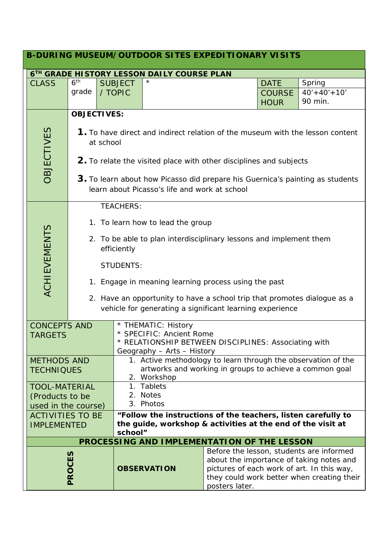| <b>B-DURING MUSEUM/OUTDOOR SITES EXPEDITIONARY VISITS</b> |                                                                                                                                |                                                                          |                                                                                      |  |                                            |                                            |  |  |
|-----------------------------------------------------------|--------------------------------------------------------------------------------------------------------------------------------|--------------------------------------------------------------------------|--------------------------------------------------------------------------------------|--|--------------------------------------------|--------------------------------------------|--|--|
| 6TH GRADE HISTORY LESSON DAILY COURSE PLAN                |                                                                                                                                |                                                                          |                                                                                      |  |                                            |                                            |  |  |
| <b>CLASS</b>                                              | 6 <sup>th</sup>                                                                                                                | <b>SUBJECT</b>                                                           | $^\star$                                                                             |  | <b>DATE</b>                                | Spring                                     |  |  |
|                                                           | grade                                                                                                                          | / TOPIC                                                                  |                                                                                      |  | <b>COURSE</b>                              | $40'+40'+10'$                              |  |  |
|                                                           |                                                                                                                                |                                                                          |                                                                                      |  | <b>HOUR</b>                                | 90 min.                                    |  |  |
|                                                           |                                                                                                                                | <b>OBJECTIVES:</b>                                                       |                                                                                      |  |                                            |                                            |  |  |
|                                                           |                                                                                                                                |                                                                          |                                                                                      |  |                                            |                                            |  |  |
| <b>OBJECTIVES</b>                                         | 1. To have direct and indirect relation of the museum with the lesson content<br>at school                                     |                                                                          |                                                                                      |  |                                            |                                            |  |  |
|                                                           | 2. To relate the visited place with other disciplines and subjects                                                             |                                                                          |                                                                                      |  |                                            |                                            |  |  |
|                                                           | 3. To learn about how Picasso did prepare his Guernica's painting as students<br>learn about Picasso's life and work at school |                                                                          |                                                                                      |  |                                            |                                            |  |  |
|                                                           | <b>TEACHERS:</b>                                                                                                               |                                                                          |                                                                                      |  |                                            |                                            |  |  |
|                                                           |                                                                                                                                |                                                                          | 1. To learn how to lead the group                                                    |  |                                            |                                            |  |  |
|                                                           | 2. To be able to plan interdisciplinary lessons and implement them                                                             |                                                                          |                                                                                      |  |                                            |                                            |  |  |
|                                                           | efficiently                                                                                                                    |                                                                          |                                                                                      |  |                                            |                                            |  |  |
|                                                           |                                                                                                                                |                                                                          |                                                                                      |  |                                            |                                            |  |  |
|                                                           | <b>STUDENTS:</b>                                                                                                               |                                                                          |                                                                                      |  |                                            |                                            |  |  |
| <b>ACHIEVEMENTS</b>                                       | 1. Engage in meaning learning process using the past                                                                           |                                                                          |                                                                                      |  |                                            |                                            |  |  |
|                                                           |                                                                                                                                | 2. Have an opportunity to have a school trip that promotes dialogue as a |                                                                                      |  |                                            |                                            |  |  |
|                                                           | vehicle for generating a significant learning experience                                                                       |                                                                          |                                                                                      |  |                                            |                                            |  |  |
| <b>CONCEPTS AND</b>                                       |                                                                                                                                |                                                                          |                                                                                      |  |                                            |                                            |  |  |
| <b>TARGETS</b>                                            |                                                                                                                                |                                                                          | * THEMATIC: History<br>* SPECIFIC: Ancient Rome                                      |  |                                            |                                            |  |  |
|                                                           |                                                                                                                                |                                                                          | * RELATIONSHIP BETWEEN DISCIPLINES: Associating with                                 |  |                                            |                                            |  |  |
|                                                           |                                                                                                                                |                                                                          | Geography - Arts - History                                                           |  |                                            |                                            |  |  |
| <b>METHODS AND</b>                                        |                                                                                                                                |                                                                          | 1. Active methodology to learn through the observation of the                        |  |                                            |                                            |  |  |
| <b>TECHNIQUES</b>                                         |                                                                                                                                |                                                                          | artworks and working in groups to achieve a common goal                              |  |                                            |                                            |  |  |
|                                                           | <b>TOOL-MATERIAL</b>                                                                                                           |                                                                          | 2. Workshop<br>1. Tablets                                                            |  |                                            |                                            |  |  |
|                                                           | (Products to be                                                                                                                |                                                                          | 2. Notes                                                                             |  |                                            |                                            |  |  |
|                                                           | used in the course)                                                                                                            |                                                                          | 3. Photos                                                                            |  |                                            |                                            |  |  |
| <b>ACTIVITIES TO BE</b>                                   |                                                                                                                                |                                                                          | "Follow the instructions of the teachers, listen carefully to                        |  |                                            |                                            |  |  |
| <b>IMPLEMENTED</b>                                        |                                                                                                                                |                                                                          | the guide, workshop & activities at the end of the visit at                          |  |                                            |                                            |  |  |
|                                                           | school"<br>PROCESSING AND IMPLEMENTATION OF THE LESSON                                                                         |                                                                          |                                                                                      |  |                                            |                                            |  |  |
|                                                           |                                                                                                                                |                                                                          |                                                                                      |  |                                            |                                            |  |  |
|                                                           |                                                                                                                                |                                                                          | Before the lesson, students are informed<br>about the importance of taking notes and |  |                                            |                                            |  |  |
|                                                           |                                                                                                                                |                                                                          | <b>OBSERVATION</b>                                                                   |  | pictures of each work of art. In this way, |                                            |  |  |
| PROCES                                                    |                                                                                                                                |                                                                          |                                                                                      |  |                                            | they could work better when creating their |  |  |
|                                                           |                                                                                                                                |                                                                          | posters later.                                                                       |  |                                            |                                            |  |  |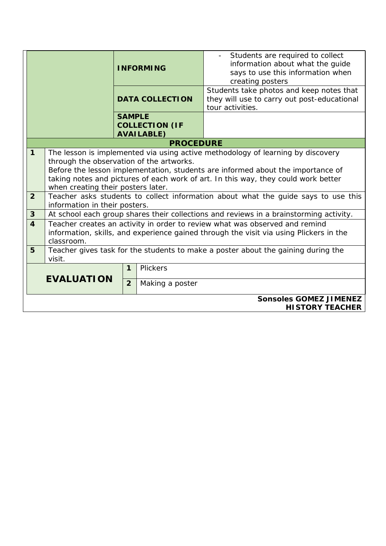|                                                         |                                                                                                                                                                                                                                                                                                                                            | <b>INFORMING</b> |                                            | Students are required to collect<br>information about what the guide<br>says to use this information when<br>creating posters |  |  |
|---------------------------------------------------------|--------------------------------------------------------------------------------------------------------------------------------------------------------------------------------------------------------------------------------------------------------------------------------------------------------------------------------------------|------------------|--------------------------------------------|-------------------------------------------------------------------------------------------------------------------------------|--|--|
|                                                         |                                                                                                                                                                                                                                                                                                                                            |                  | <b>DATA COLLECTION</b>                     | Students take photos and keep notes that<br>they will use to carry out post-educational<br>tour activities.                   |  |  |
|                                                         |                                                                                                                                                                                                                                                                                                                                            | <b>SAMPLE</b>    | <b>COLLECTION (IF</b><br><b>AVAILABLE)</b> |                                                                                                                               |  |  |
|                                                         |                                                                                                                                                                                                                                                                                                                                            |                  | <b>PROCEDURE</b>                           |                                                                                                                               |  |  |
| $\mathbf{1}$                                            | The lesson is implemented via using active methodology of learning by discovery<br>through the observation of the artworks.<br>Before the lesson implementation, students are informed about the importance of<br>taking notes and pictures of each work of art. In this way, they could work better<br>when creating their posters later. |                  |                                            |                                                                                                                               |  |  |
| 2 <sup>2</sup>                                          | Teacher asks students to collect information about what the guide says to use this<br>information in their posters.                                                                                                                                                                                                                        |                  |                                            |                                                                                                                               |  |  |
| $\mathbf{3}$                                            | At school each group shares their collections and reviews in a brainstorming activity.                                                                                                                                                                                                                                                     |                  |                                            |                                                                                                                               |  |  |
| $\overline{\mathbf{4}}$                                 | Teacher creates an activity in order to review what was observed and remind<br>information, skills, and experience gained through the visit via using Plickers in the<br>classroom.                                                                                                                                                        |                  |                                            |                                                                                                                               |  |  |
| 5                                                       | Teacher gives task for the students to make a poster about the gaining during the<br>visit.                                                                                                                                                                                                                                                |                  |                                            |                                                                                                                               |  |  |
| Plickers<br>$\mathbf{1}$                                |                                                                                                                                                                                                                                                                                                                                            |                  |                                            |                                                                                                                               |  |  |
| <b>EVALUATION</b>                                       |                                                                                                                                                                                                                                                                                                                                            | $\overline{2}$   | Making a poster                            |                                                                                                                               |  |  |
| <b>Sonsoles GOMEZ JIMENEZ</b><br><b>HISTORY TEACHER</b> |                                                                                                                                                                                                                                                                                                                                            |                  |                                            |                                                                                                                               |  |  |